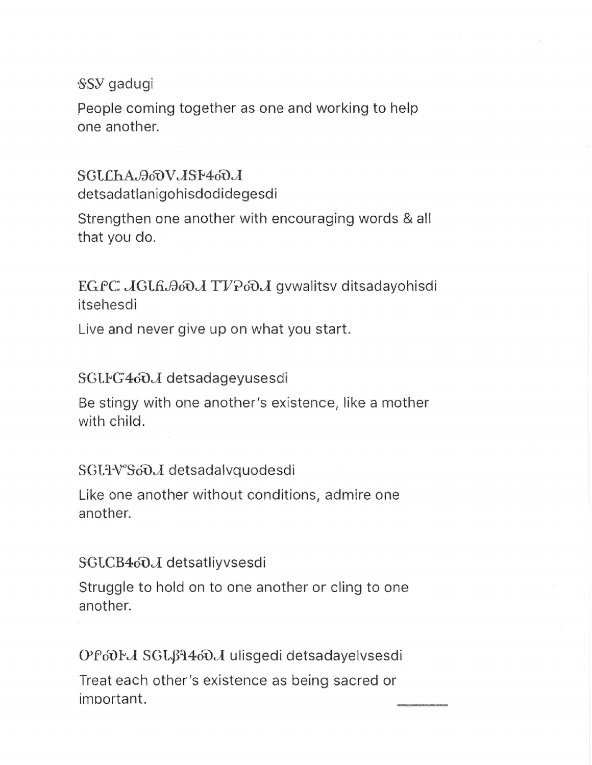#### SSV gadugi

People coming together as one and working to help one another.

### SGLChAA@VJSF4@J

detsadatlanigohisdodidegesdi

Strengthen one another with encouraging words & all that you do.

EGPC JGL6.Θολ TVPολ gywalitsv ditsadayohisdi itsehesdi

Live and never give up on what you start.

#### SGLFG4oDJ detsadageyusesdi

Be stingy with one another's existence, like a mother with child.

#### SGLIV°SoDJ detsadalvquodesdi

Like one another without conditions, admire one another.

#### SGLCB4oDJ detsatliyvsesdi

Struggle to hold on to one another or cling to one another.

OΡοΟΕΛ SGLβ14οΟΛ ulisgedi detsadayelvsesdi

Treat each other's existence as being sacred or important.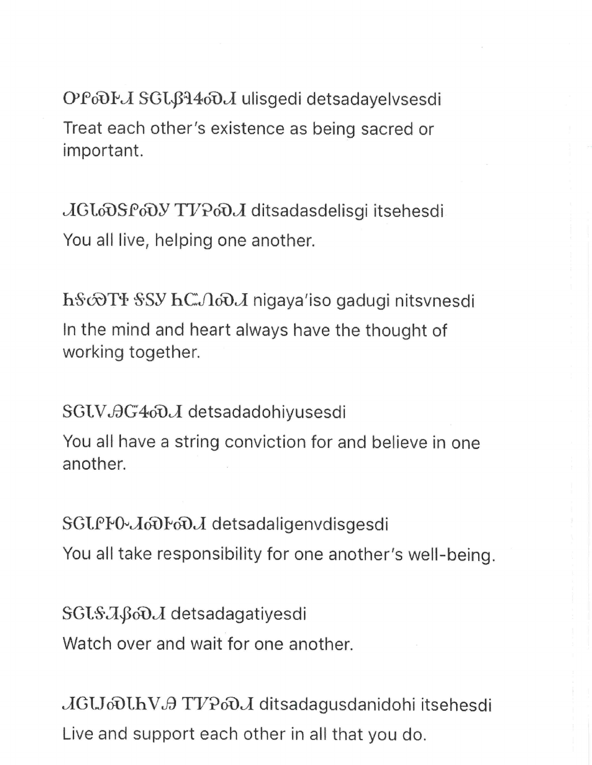$OPOPLJ SGL\beta14oDJ$  ulisgedi detsadayelvsesdi Treat each other's existence as being sacred or important.

JGLOSPOV TVPOJ ditsadasdelisgi itsehesdi You all live, helping one another.

h§coTi §SY hCMoOJ nigaya'iso gadugi nitsvnesdi In the mind and heart always have the thought of working together.

SGLV.OG4oD.J detsadadohiyusesdi

You all have a string conviction for and believe in one another.

SGLPIO-JoDI-oDJ detsadaligenvdisgesdi You all take responsibility for one another's well-being.

SGLS*J*, βολ detsadagatiyesdi Watch over and wait for one another.

JGUoDLhVA TVPoDJ ditsadagusdanidohi itsehesdi Live and support each other in all that you do.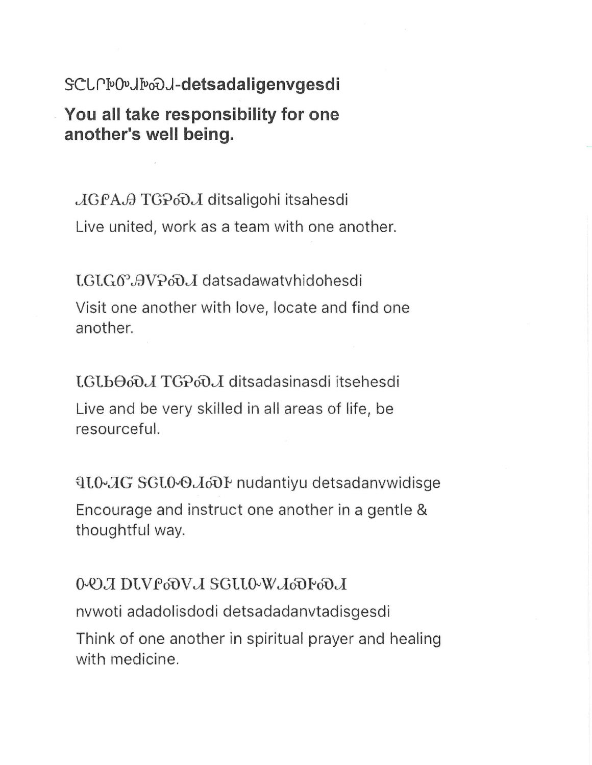# SCLPPOU-POOJ-detsadaligenvgesdi

## You all take responsibility for one another's well being.

 $JGPAJ$  TGPoD $J$  ditsaligohi itsahesdi Live united, work as a team with one another.

LGLGO.AVPoDJ datsadawatvhidohesdi Visit one another with love, locate and find one another.

LGLbO@J TGP@J ditsadasinasdi itsehesdi Live and be very skilled in all areas of life, be resourceful.

**QLO-AG SGLO-O**JOOF nudantiyu detsadanvwidisge Encourage and instruct one another in a gentle & thoughtful way.

### LGoPOR, W-O.D LVGoDVJGD R.C.P.O.

nvwoti adadolisdodi detsadadanvtadisgesdi

Think of one another in spiritual prayer and healing with medicine.